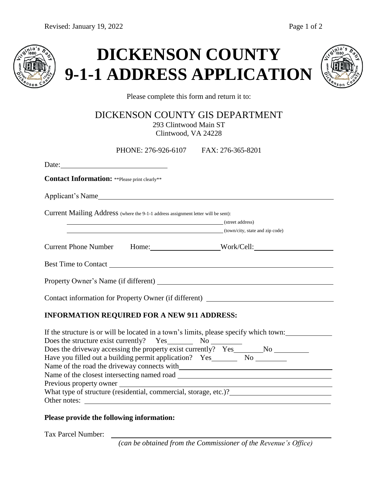





Please complete this form and return it to:

DICKENSON COUNTY GIS DEPARTMENT 293 Clintwood Main ST

Clintwood, VA 24228

| PHONE: 276-926-6107 FAX: 276-365-8201                                                 |
|---------------------------------------------------------------------------------------|
|                                                                                       |
| <b>Contact Information:</b> **Please print clearly**                                  |
| Applicant's Name                                                                      |
| Current Mailing Address (where the 9-1-1 address assignment letter will be sent):     |
| <b>Example 2018</b> (street address)                                                  |
| (town/city, state and zip code)                                                       |
| Current Phone Number Home: Work/Cell:                                                 |
|                                                                                       |
|                                                                                       |
| Contact information for Property Owner (if different) ___________________________     |
| <b>INFORMATION REQUIRED FOR A NEW 911 ADDRESS:</b>                                    |
| If the structure is or will be located in a town's limits, please specify which town: |
|                                                                                       |
|                                                                                       |
|                                                                                       |
| Name of the road the driveway connects with                                           |
|                                                                                       |
| Previous property owner                                                               |
|                                                                                       |
| Other notes:                                                                          |

## **Please provide the following information:**

Tax Parcel Number:

*(can be obtained from the Commissioner of the Revenue's Office)*